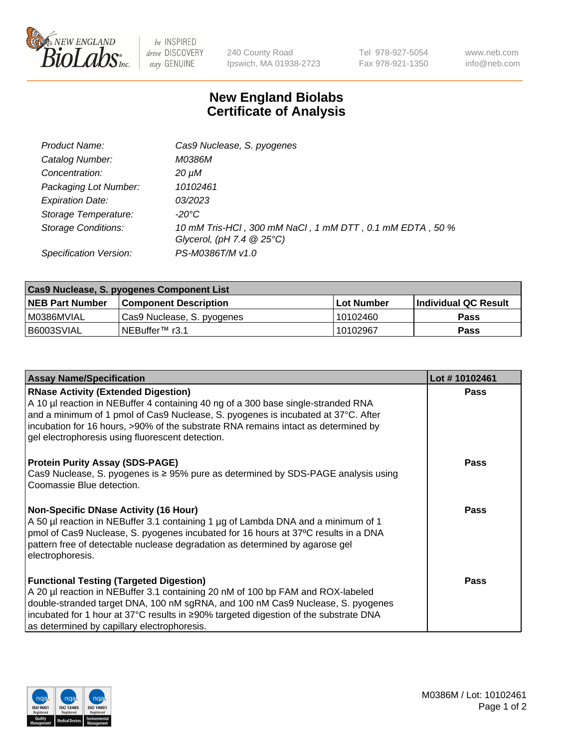

 $be$  INSPIRED drive DISCOVERY stay GENUINE

240 County Road Ipswich, MA 01938-2723 Tel 978-927-5054 Fax 978-921-1350 www.neb.com info@neb.com

## **New England Biolabs Certificate of Analysis**

| Product Name:              | Cas9 Nuclease, S. pyogenes                                                              |
|----------------------------|-----------------------------------------------------------------------------------------|
| Catalog Number:            | M0386M                                                                                  |
| Concentration:             | 20 µM                                                                                   |
| Packaging Lot Number:      | 10102461                                                                                |
| <b>Expiration Date:</b>    | <i>03/2023</i>                                                                          |
| Storage Temperature:       | -20°C                                                                                   |
| <b>Storage Conditions:</b> | 10 mM Tris-HCl, 300 mM NaCl, 1 mM DTT, 0.1 mM EDTA, 50 %<br>Glycerol, (pH 7.4 $@25°C$ ) |
| Specification Version:     | PS-M0386T/M v1.0                                                                        |

| Cas9 Nuclease, S. pyogenes Component List |                              |             |                             |  |  |
|-------------------------------------------|------------------------------|-------------|-----------------------------|--|--|
| <b>NEB Part Number</b>                    | <b>Component Description</b> | ⊺Lot Number | <b>Individual QC Result</b> |  |  |
| I M0386MVIAL                              | Cas9 Nuclease, S. pyogenes   | 10102460    | <b>Pass</b>                 |  |  |
| I B6003SVIAL                              | INEBuffer <sup>™</sup> r3.1  | 10102967    | <b>Pass</b>                 |  |  |

| <b>Assay Name/Specification</b>                                                                                                                                                                                                                                                                                                                                | Lot #10102461 |
|----------------------------------------------------------------------------------------------------------------------------------------------------------------------------------------------------------------------------------------------------------------------------------------------------------------------------------------------------------------|---------------|
| <b>RNase Activity (Extended Digestion)</b><br>A 10 µl reaction in NEBuffer 4 containing 40 ng of a 300 base single-stranded RNA<br>and a minimum of 1 pmol of Cas9 Nuclease, S. pyogenes is incubated at 37°C. After<br>incubation for 16 hours, >90% of the substrate RNA remains intact as determined by<br>gel electrophoresis using fluorescent detection. | Pass          |
| <b>Protein Purity Assay (SDS-PAGE)</b><br>Cas9 Nuclease, S. pyogenes is $\geq$ 95% pure as determined by SDS-PAGE analysis using<br>Coomassie Blue detection.                                                                                                                                                                                                  | <b>Pass</b>   |
| <b>Non-Specific DNase Activity (16 Hour)</b><br>A 50 µl reaction in NEBuffer 3.1 containing 1 µg of Lambda DNA and a minimum of 1<br>pmol of Cas9 Nuclease, S. pyogenes incubated for 16 hours at 37°C results in a DNA<br>pattern free of detectable nuclease degradation as determined by agarose gel<br>electrophoresis.                                    | Pass          |
| <b>Functional Testing (Targeted Digestion)</b><br>A 20 µl reaction in NEBuffer 3.1 containing 20 nM of 100 bp FAM and ROX-labeled<br>double-stranded target DNA, 100 nM sgRNA, and 100 nM Cas9 Nuclease, S. pyogenes<br>incubated for 1 hour at 37°C results in ≥90% targeted digestion of the substrate DNA<br>as determined by capillary electrophoresis.    | Pass          |